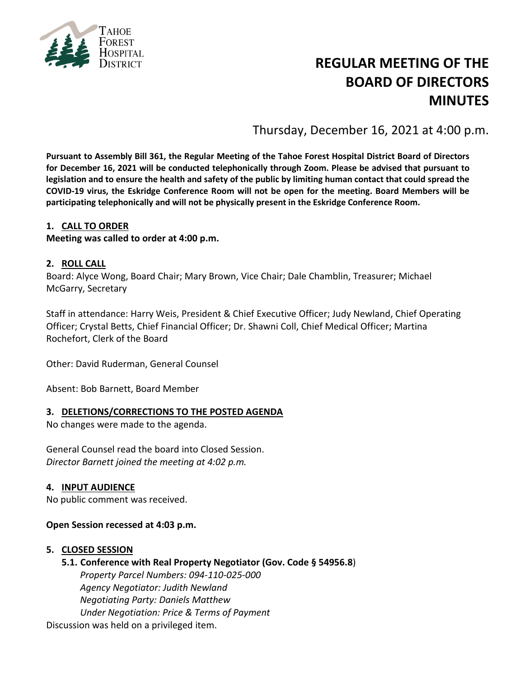

# **REGULAR MEETING OF THE BOARD OF DIRECTORS MINUTES**

Thursday, December 16, 2021 at 4:00 p.m.

**Pursuant to Assembly Bill 361, the Regular Meeting of the Tahoe Forest Hospital District Board of Directors for December 16, 2021 will be conducted telephonically through Zoom. Please be advised that pursuant to legislation and to ensure the health and safety of the public by limiting human contact that could spread the COVID-19 virus, the Eskridge Conference Room will not be open for the meeting. Board Members will be participating telephonically and will not be physically present in the Eskridge Conference Room.**

#### **1. CALL TO ORDER**

**Meeting was called to order at 4:00 p.m.**

#### **2. ROLL CALL**

Board: Alyce Wong, Board Chair; Mary Brown, Vice Chair; Dale Chamblin, Treasurer; Michael McGarry, Secretary

Staff in attendance: Harry Weis, President & Chief Executive Officer; Judy Newland, Chief Operating Officer; Crystal Betts, Chief Financial Officer; Dr. Shawni Coll, Chief Medical Officer; Martina Rochefort, Clerk of the Board

Other: David Ruderman, General Counsel

Absent: Bob Barnett, Board Member

#### **3. DELETIONS/CORRECTIONS TO THE POSTED AGENDA**

No changes were made to the agenda.

General Counsel read the board into Closed Session. *Director Barnett joined the meeting at 4:02 p.m.*

#### **4. INPUT AUDIENCE**

No public comment was received.

#### **Open Session recessed at 4:03 p.m.**

#### **5. CLOSED SESSION**

**5.1. Conference with Real Property Negotiator (Gov. Code § 54956.8**)

*Property Parcel Numbers: 094-110-025-000 Agency Negotiator: Judith Newland Negotiating Party: Daniels Matthew Under Negotiation: Price & Terms of Payment*

Discussion was held on a privileged item.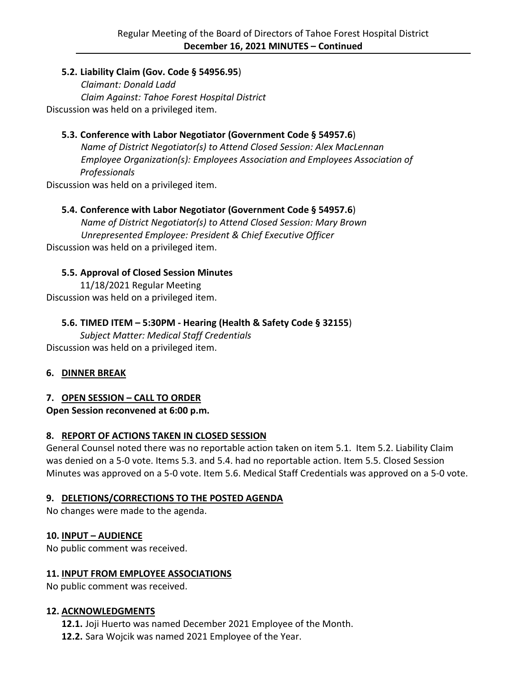## **5.2. Liability Claim (Gov. Code § 54956.95**)

*Claimant: Donald Ladd Claim Against: Tahoe Forest Hospital District* Discussion was held on a privileged item.

## **5.3. Conference with Labor Negotiator (Government Code § 54957.6**)

*Name of District Negotiator(s) to Attend Closed Session: Alex MacLennan Employee Organization(s): Employees Association and Employees Association of Professionals*

Discussion was held on a privileged item.

## **5.4. Conference with Labor Negotiator (Government Code § 54957.6**)

*Name of District Negotiator(s) to Attend Closed Session: Mary Brown Unrepresented Employee: President & Chief Executive Officer* Discussion was held on a privileged item.

## **5.5. Approval of Closed Session Minutes**

11/18/2021 Regular Meeting Discussion was held on a privileged item.

## **5.6. TIMED ITEM – 5:30PM - Hearing (Health & Safety Code § 32155**)

*Subject Matter: Medical Staff Credentials*

Discussion was held on a privileged item.

## **6. DINNER BREAK**

## **7. OPEN SESSION – CALL TO ORDER**

## **Open Session reconvened at 6:00 p.m.**

## **8. REPORT OF ACTIONS TAKEN IN CLOSED SESSION**

General Counsel noted there was no reportable action taken on item 5.1. Item 5.2. Liability Claim was denied on a 5-0 vote. Items 5.3. and 5.4. had no reportable action. Item 5.5. Closed Session Minutes was approved on a 5-0 vote. Item 5.6. Medical Staff Credentials was approved on a 5-0 vote.

## **9. DELETIONS/CORRECTIONS TO THE POSTED AGENDA**

No changes were made to the agenda.

## **10. INPUT – AUDIENCE**

No public comment was received.

## **11. INPUT FROM EMPLOYEE ASSOCIATIONS**

No public comment was received.

## **12. ACKNOWLEDGMENTS**

**12.1.** Joji Huerto was named December 2021 Employee of the Month. **12.2.** Sara Wojcik was named 2021 Employee of the Year.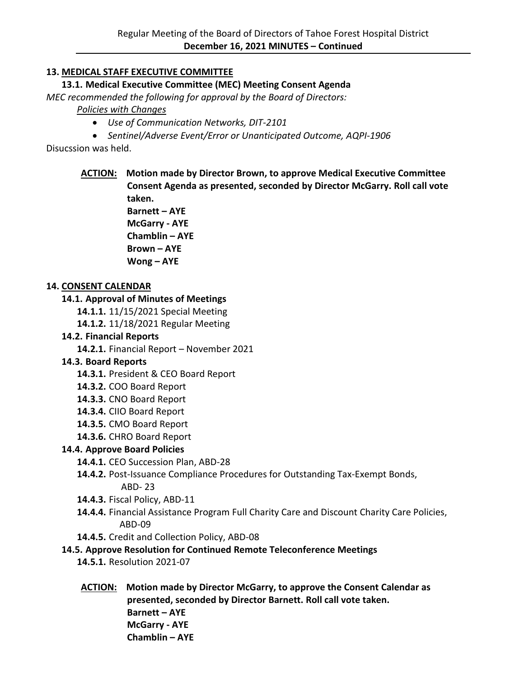## **13. MEDICAL STAFF EXECUTIVE COMMITTEE**

## **13.1. Medical Executive Committee (MEC) Meeting Consent Agenda**

*MEC recommended the following for approval by the Board of Directors:* 

*Policies with Changes*

- *Use of Communication Networks, DIT-2101*
- *Sentinel/Adverse Event/Error or Unanticipated Outcome, AQPI-1906*

Disucssion was held.

- **ACTION: Motion made by Director Brown, to approve Medical Executive Committee Consent Agenda as presented, seconded by Director McGarry. Roll call vote taken. Barnett – AYE McGarry - AYE Chamblin – AYE**
	- **Brown – AYE**
	- **Wong – AYE**

## **14. CONSENT CALENDAR**

## **14.1. Approval of Minutes of Meetings**

- **14.1.1.** 11/15/2021 Special Meeting
- **14.1.2.** 11/18/2021 Regular Meeting
- **14.2. Financial Reports**
	- **14.2.1.** Financial Report November 2021

## **14.3. Board Reports**

- **14.3.1.** President & CEO Board Report
- **14.3.2.** COO Board Report
- **14.3.3.** CNO Board Report
- **14.3.4.** CIIO Board Report
- **14.3.5.** CMO Board Report
- **14.3.6.** CHRO Board Report

## **14.4. Approve Board Policies**

- **14.4.1.** CEO Succession Plan, ABD-28
- **14.4.2.** Post-Issuance Compliance Procedures for Outstanding Tax-Exempt Bonds, ABD- 23
- **14.4.3.** Fiscal Policy, ABD-11
- **14.4.4.** Financial Assistance Program Full Charity Care and Discount Charity Care Policies, ABD-09
- **14.4.5.** Credit and Collection Policy, ABD-08
- **14.5. Approve Resolution for Continued Remote Teleconference Meetings**
	- **14.5.1.** Resolution 2021-07
	- **ACTION: Motion made by Director McGarry, to approve the Consent Calendar as presented, seconded by Director Barnett. Roll call vote taken. Barnett – AYE McGarry - AYE Chamblin – AYE**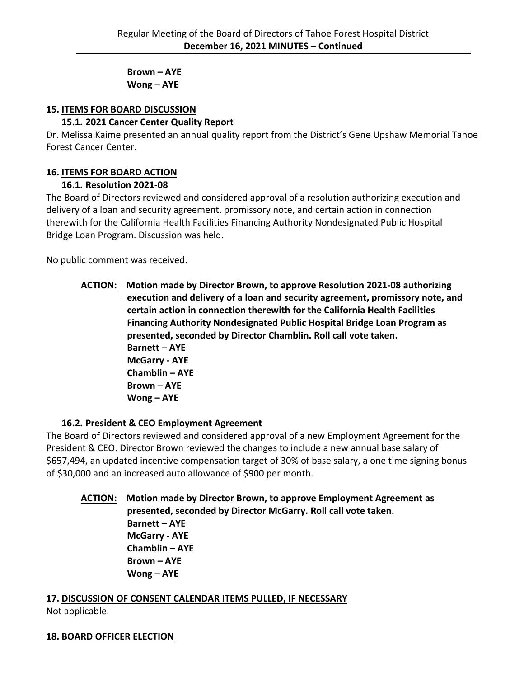**Brown – AYE Wong – AYE**

#### **15. ITEMS FOR BOARD DISCUSSION**

## **15.1. 2021 Cancer Center Quality Report**

Dr. Melissa Kaime presented an annual quality report from the District's Gene Upshaw Memorial Tahoe Forest Cancer Center.

## **16. ITEMS FOR BOARD ACTION**

## **16.1. Resolution 2021-08**

The Board of Directors reviewed and considered approval of a resolution authorizing execution and delivery of a loan and security agreement, promissory note, and certain action in connection therewith for the California Health Facilities Financing Authority Nondesignated Public Hospital Bridge Loan Program. Discussion was held.

No public comment was received.

**ACTION: Motion made by Director Brown, to approve Resolution 2021-08 authorizing execution and delivery of a loan and security agreement, promissory note, and certain action in connection therewith for the California Health Facilities Financing Authority Nondesignated Public Hospital Bridge Loan Program as presented, seconded by Director Chamblin. Roll call vote taken. Barnett – AYE McGarry - AYE Chamblin – AYE Brown – AYE Wong – AYE**

## **16.2. President & CEO Employment Agreement**

The Board of Directors reviewed and considered approval of a new Employment Agreement for the President & CEO. Director Brown reviewed the changes to include a new annual base salary of \$657,494, an updated incentive compensation target of 30% of base salary, a one time signing bonus of \$30,000 and an increased auto allowance of \$900 per month.

**ACTION: Motion made by Director Brown, to approve Employment Agreement as presented, seconded by Director McGarry. Roll call vote taken. Barnett – AYE McGarry - AYE Chamblin – AYE Brown – AYE Wong – AYE**

**17. DISCUSSION OF CONSENT CALENDAR ITEMS PULLED, IF NECESSARY** Not applicable.

#### **18. BOARD OFFICER ELECTION**